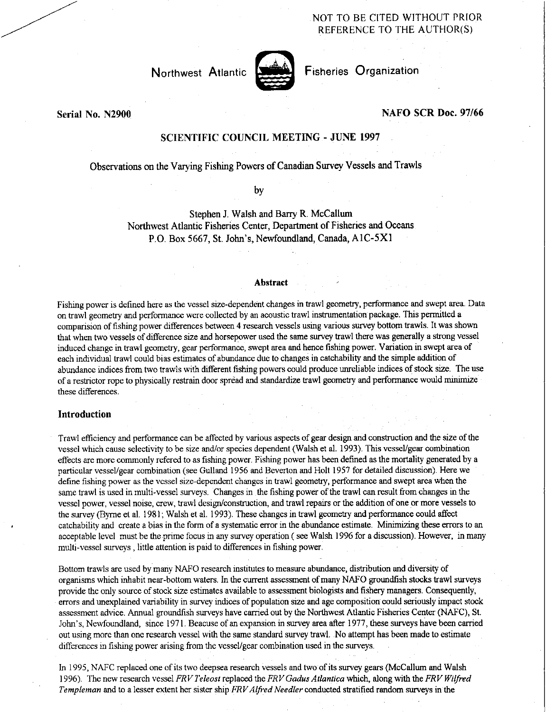# NOT TO BE CITED WITHOUT PRIOR REFERENCE TO THE AUTHOR(S)

Northwest Atlantic



Fisheries Organization

Serial No. N2900

# NAFO SCR Doc. 97/66

# SCIENTIFIC COUNCIL MEETING - JUNE 1997

Observations on the Varying Fishing Powers of Canadian Survey Vessels and Trawls

by

Stephen J. Walsh and Barry R. McCallum Northwest Atlantic Fisheries Center, Department of Fisheries and Oceans P.O. Box 5667, St. John's, Newfoundland, Canada, A1C-5X1

#### Abstract

Fishing power is defined here as the vessel size-dependent changes in trawl geometry, performance and swept area. Data on trawl geometry and performance were collected by an acoustic trawl instrumentation package. This permitted a comparision of fishing power differences between 4 research vessels using various survey bottom trawls. It was shown that when two vessels of difference size and horsepower used the same survey trawl there was generally a strong vessel induced change in trawl geometry, gear performance, swept area and hence fishing power. Variation in swept area of each individual trawl could bias estimates of abundance due to changes in catchability and the simple addition of abundance indices from two trawls with different fishing powers could produce unreliable indices of stock size The use of a restrictor rope to physically restrain door spread and standardize trawl geometry and performance would minimize these differences.

# Introduction

Trawl efficiency and performance can be affected by various aspects of gear design and construction and the size of the vessel which cause selectivity to be size and/or species dependent (Walsh et al. 1993). This vessel/gear combination effects are more commonly refered to as fishing power. Fishing power has been defined as the mortality generated by a particular vessel/gear combination (see Gulland 1956 and Beverton and Holt 1957 for detailed discussion). Here we define fishing power as the vessel size-dependent changes in trawl geometry, performance and swept area when the same trawl is used in multi-vessel surveys. Changes in the fishing power of the trawl can result from changes in the vessel power, vessel noise, crew, trawl design/construction, and trawl repairs or the addition of one or more vessels to the survey (Byrne et al. 1981; Walsh et al. 1993). These changes in trawl geometry and performance could affect catchability and create a bias in the form of a systematic error in the abundance estimate. Minimizing these errors to an acceptable level must be the prime focus in any survey operation ( see Walsh 1996 for a discussion). However, in many multi-vessel surveys , little attention is paid to differences in fishing power.

Bottom trawls are used by many NAFO research institutes to measure abundance, distribution and diversity of organisms which inhabit near-bottom waters. In the current assessment of many NAFO groundfish stocks trawl surveys provide the only source of stock size estimates available to assessment biologists and fishery managers. Consequently, errors and unexplained variability in survey indices of population size and age composition could seriously impact stock assessment advice. Annual groundfish surveys have carried out by the Northwest Atlantic Fisheries Center (NAFC), St. John's, Newfoundland, since 1971. Beacuse of an expansion in survey area after 1977, these surveys have been carried out using more than one research vessel with the same standard survey trawl. No attempt has been made to estimate differences in fishing power arising from the vessel/gear combination used in the surveys.

In 1995, NAFC replaced one of its two deepsea research vessels and two of its survey gears (McCallum and Walsh 1996). The new research vessel *FRV Teleost* replaced the *FRV Gadus Atlantica* which, along with the *FRV Wilfred Templeman* and to a lesser extent her sister ship *FRV Alfred Needier* conducted stratified random surveys in the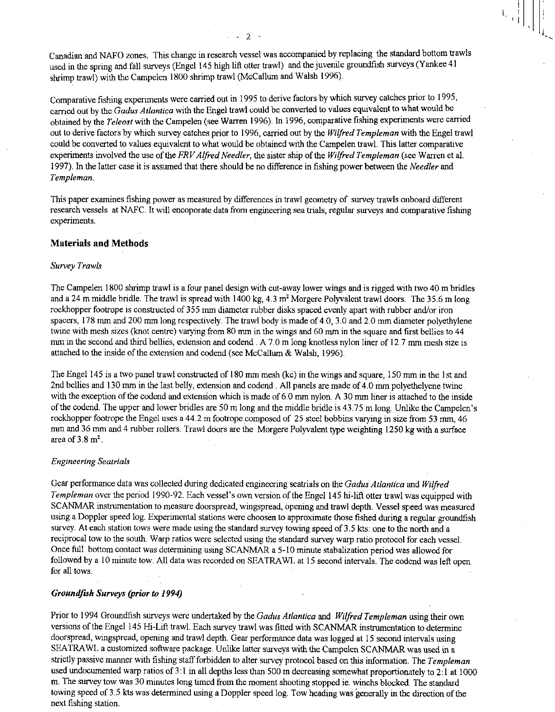Canadian and NAFO zones. This change in research vessel was accompanied by replacing the standard bottom trawls used in the spring and fall surveys (Engel 145 high lift otter trawl) and the juvenile groundfish surveys (Yankee 41 shrimp trawl) with the Campelen 1800 shrimp trawl (McCallum and Walsh 1996).

 $\mathbf{E} \left[ \begin{matrix} 1 \\ 0 \end{matrix} \right]$ 

Comparative fishing experiments were carried out in 1995 to derive factors by which survey catches prior to 1995, carried out by the *Gadus Atlantica* with the Engel trawl could be converted to values equivalent to what would be obtained by the *Teleost* with the Campelen (see Warren 1996). In 1996, comparative fishing experiments were carried out to derive factors by which survey catches prior to 1996, carried out by the *Wilfred Templeman* with the Engel trawl could be converted to values equivalent to what would be obtained with the Campelen trawl. This latter comparative experiments involved the use of the *FRV Alfred Needler,* the sister ship of the *Wilfred Templeman* (see Warren et al. 1997). In the latter case it is assumed that there should be no difference in fishing power between the *Needler* and *Templeman.* 

This paper examines fishing power as measured by differences in trawl geometry of survey trawls onboard different research vessels at NAFC. It will encoporate data from engineering sea trials, regular surveys and comparative fishing experiments.

# Materials and Methods

#### *Survey Trawls*

The Campelen 1800 shrimp trawl is a four panel design with cut-away lower wings and is rigged with two 40 m bridles and a 24 m middle bridle. The trawl is spread with 1400 kg,  $4.3$  m<sup>2</sup> Morgere Polyvalent trawl doors. The 35.6 m long rockhopper footrope is constructed of 355 mm diameter rubber disks spaced evenly apart with rubber and/or iron spacers, 178 mm and 200 mm long respectively. The trawl body is made of 4.0, 3.0 and 2.0 mm diameter polyethylene twine with mesh sizes (knot centre) varying from 80 mm in the wings and 60 mm in the square and first bellies to 44 nun in the second and third bellies, extension and codend . A 7.0 m long knotless nylon liner of 12.7 mm mesh size is attached to the inside of the extension and codend (see McCallum & Walsh, 1996).

The Engel 145 is a two panel trawl constructed of 180 mm mesh (kc) in the wings and square, 150 mm in the 1st and 2nd bellies and 130 mm in the last belly, extension and codend . All panels are made of 4.0 mm polyethelyene twine with the exception of the codend and extension which is made of 6.0 mm nylon. A 30 mm liner is attached to the inside of the codend. The upper and lower bridles are 50 m long and the middle bridle is 43.75 m long. Unlike the Campelen's rockhopper footrope the Engel uses a 44.2 m footrope composed of 25 steel bobbins varying in size from 53 mm, 46 mm and 36 mm and 4 rubber rollers. Trawl doors are the Morgere Polyvalent type weighting 1250 kg with a surface area of  $3.8 \text{ m}^2$ .

# *Engineering Seatrials*

Gear performance data was collected during dedicated engineering seatrials on the *Gadus Atlantica* and *Wilfred Templeman* over the period 1990-92. Each vessel's own version of the Engel 145 hi-lift otter trawl was equipped with SCANMAR instrumentation to measure doorspread, wingspread, opening and trawl depth. Vessel speed was measured using a Doppler speed log. Experimental stations were choosen to approximate those fished during a regular groundfish survey. At each station tows were made using the standard survey towing speed of 3.5 kts: one to the north and a reciprocal tow to the south. Warp ratios were selected using the standard survey warp ratio protocol for each vessel. Once full bottom contact was determining using SCANMAR a 5-10 minute stabalization period was allowed for followed by a 10 minute tow. All data was recorded on SEATRAWL at 15 second intervals. The codend was left open for all tows.

### *Groundfuh Surveys (prior to 1994)*

Prior to 1994 Groundfish surveys were undertaked by the *Gadus Atlantica* and *Wilfred Templeman* using their own versions of the Engel 145 Hi-Lift trawl. Each survey trawl was fitted with SCANMAR instrumentation to determine doorspread, wingspread, opening and trawl depth. Gear performance data was logged at 15 second intervals using SEATRAWL a customized software package. Unlike latter surveys with the Campelen SCANMAR was used in a strictly passive manner with fishing staff forbidden to alter survey protocol based on this information. The *Templeman*  used undocumented warp ratios of 3:1 in all depths less than 500 m decreasing somewhat proportionately to 2:1 at 1000 m. The survey tow was 30 minutes long timed from the moment shooting stopped ie. winchs blocked. The standard towing speed of 3.5 kts was determined using a Doppler speed log. Tow heading was generally in the direction of the next fishing station.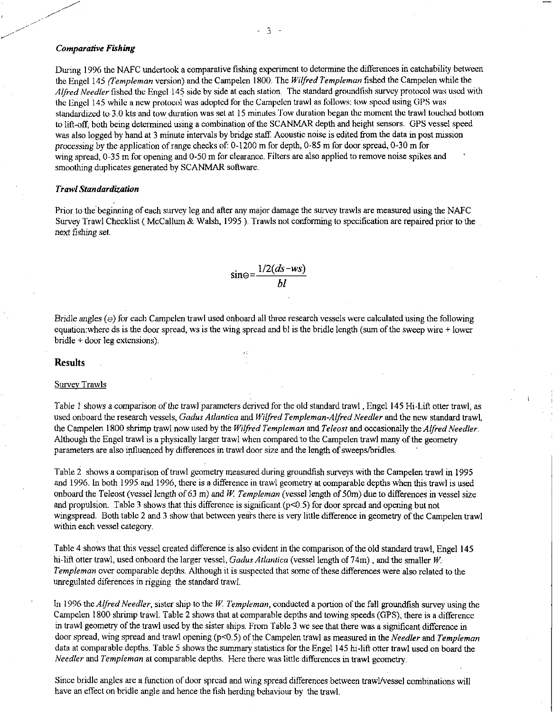### *Comparative Fishing*

During 1996 the NAFC undertook a comparative fishing experiment to determine the differences in catchability between the Engel 145 *(Templeman* version) and the Campelen 1800. The *Wilfred Templeman* fished the Campelen while the *Alfred Needier* fished the Engel 145 side by side at each station. The standard groundfish survey protocol was used with the Engel 145 while a new protocol was adopted for the Campelen trawl as follows: tow speed using GPS was standardized to 3.0 kts and tow duration was set at 15 minutes Tow duration began the moment the trawl touched bottom to lift-off, both being determined using a combination of the SCANMAR depth and height sensors. GPS vessel speed was also logged by hand at 3 minute intervals by bridge staff. Acoustic noise is edited from the data in post mission processing by the application of range checks of: 0-1200 m for depth, 0-85 m for door spread, 0-30 m for wing spread, 0-35 m for opening and 0-50 m for clearance. Filters are also applied to remove noise spikes and smoothing duplicates generated by SCANMAR software.

### *Trawl Standardization*

Prior to the beginning of each survey leg and after any major damage the survey trawls are measured using the NAFC Survey Trawl Checklist ( McCallum & Walsh, 1995 ). Trawls not conforming to specification are repaired prior to the next fishing *set.* 

$$
\sin\Theta = \frac{1/2(ds - ws)}{bl}
$$

*Bridle angles* (e) for each Campelen trawl used onboard all three research vessels were calculated using the following equation:where ds is the door spread, ws is the wing spread and bl is the bridle length (sum of the sweep wire + lower bridle + door leg extensions).

#### Results

#### Survey Trawls

Table 1 shows a *comparison of* the trawl parameters derived for the old standard trawl , Engel 145 Hi-Lift otter trawl, as used onboard the research vessels, *Gadus Atlantica* and *Wilfred Templeman-Alfred Needier* and the new standard trawl, the Campelen 1800 shrimp trawl now used by the *Wilfred Templeman* and *Teleost* and occasionally the *Alfred Needier.*  Although the Engel trawl is a physically larger trawl when compared to the Campelen trawl many of the geometry parameters are also influenced by differences in trawl door size and the length of sweeps/bridles.

Table 2 shows a comparison of trawl geometry measured during groundfish surveys with the Campelen trawl in 1995 and 1996. In both 1995 and 1996, there is a difference in trawl geometry at comparable depths when this trawl is used onboard the Teleost (vessel length of 63 rn) and W. *Templeman (vessel* length of 50m) due to differences in vessel size and propulsion. Table 3 shows that this difference is significant (p<0.5) for door spread and opening but not wingspread. Both table 2 and 3 show that between years there is very little difference in geometry of the Campelen trawl within each vessel category.

Table 4 shows that this vessel created difference is also evident in the comparison of the old standard trawl, Engel 145 hi-lift otter trawl, used onboard the larger vessel, *Gadus Atlantica* (vessel length of 74m) , and the smaller W *Templeman* over comparable depths. Although it is suspected that some of these differences were also related to the unregulated diferences in rigging the standard trawl.

In 1996 the *Alfred Needler*, sister ship to the W. Templeman, conducted a portion of the fall groundfish survey using the Campelen 1800 shrimp trawl. Table 2 shows that at comparable depths and towing speeds (GPS), there is a difference in trawl geometry of the trawl used by the sister ships. From Table 3 we see that there was a significant difference in door spread, wing spread and trawl opening (p<0.5) of the Campelen trawl as measured in the *Needier* and *Templeman*  data at comparable depths. Table 5 shows the summary statistics for the Engel 145 hi-lift otter trawl used on board the *Needier* and *Templeman* at comparable depths. Here there was little differences in trawl geometry.

Since bridle angles are a function of door spread and wing spread differences between trawl/vessel combinations will have an effect on bridle angle and hence the fish herding behaviour by the trawl.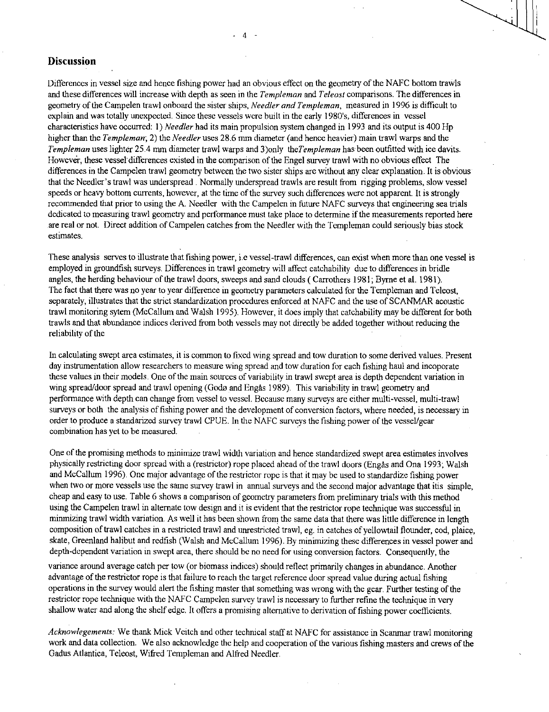# **Discussion**

Differences in vessel size and hence fishing power had an obvious effect on the geometry of the NAFC bottom trawls and these differences will increase with depth as seen in the *Templeman* and *Teleost* comparisons. The differences in geometry of the Campelen trawl onboard the sister ships, *Needier and Templeman,* measured in 1996 is difficult to explain and was totally unexpected. Since these vessels were built in the early 1980's, differences in vessel characteristics have occurred: 1) *Needler* had its main propulsion system changed in 1993 and its output is 400 Hp higher than the *Templeman;* 2) the *Needier* uses 28.6 mm diameter (and hence heavier) main trawl warps and the *Templeman* uses lighter 25.4 mm diameter trawl warps and 3)only *theTempleman* has been outfitted with ice davits. However, these vessel' differences existed in the comparison of the Engel survey trawl with no obvious effect The differences in the Campelen trawl geometry between the two sister ships are without any clear explanation. It is obvious that the Needier' s trawl was underspread . Normally underspread trawls are result from rigging problems, slow vessel speeds or heavy bottom currents, however, at the time of the survey such differences were not apparent. It is strongly recommended that prior to using the A. Needier with the Campelen in future NAFC surveys that engineering sea trials dedicated to measuring trawl geometry and performance must take place to determine if the measurements reported here are real or not. Direct addition of Campelen catches from the Needier with the Templeman could seriously bias stock estimates.

These analysis serves to illustrate that fishing power, i.e vessel-trawl differences, can exist when more than one vessel is employed in groundfish surveys. Differences in trawl geometry will affect catchability due to differences in bridle angles, the herding behaviour of the trawl doors, sweeps and sand clouds ( Carrothers 1981; Byrne et al. 1981). The fact that there was no year to year difference in geometry parameters calculated for the Templeman and Teleost, separately, illustrates that the strict standardization procedures enforced at NAFC and the use of SCANMAR acoustic trawl monitoring sytem (McCallum and Walsh 1995). However, it does imply that catchability may be different for both trawls and that abundance indices derived from both vessels may not directly be added together without reducing the reliability of the

In calculating swept area estimates, it is common to fixed wing spread and tow duration to some derived values. Present day instrumentation allow researchers to measure wing spread and tow duration for each fishing haul and incoporate these values in their models. One of the main sources of variability in trawl swept area is depth dependent variation in wing spread/door spread and trawl opening (Godø and Engås 1989). This variability in trawl geometry and performance with depth can change from vessel to vessel. Because many surveys are either multi-vessel, multi-trawl surveys or both the analysis of fishing power and the development of conversion factors, where needed, is necessary in order to produce a standarized survey trawl CPUE. In the NAFC surveys the fishing power of the vessel/gear combination has yet to be measured.

One of the promising methods to minimize trawl width variation and hence standardized swept area estimates involves physically restricting door spread with a (restrictor) rope placed ahead of the trawl doors (Engas and Ona 1993; Walsh and McCallum 1996). One major advantage of the restrictor rope is that it may be used to standardize fishing power when two or more vessels use the same survey trawl in annual surveys and the second major advantage that itis simple, cheap and easy to use. Table 6 shows a comparison of geometry parameters from preliminary trials with this method using the Campelen trawl in alternate tow design and it is evident that the restrictor rope technique was successful in minmizing trawl width variation. As well it has been shown from the same data that there was little difference in length composition of trawl catches in a restricted trawl and unrestricted trawl, eg. in catches of yellowtail flounder, cod, plaice, skate, Greenland halibut and redfish (Walsh and McCallum 1996). By minimizing these differences in vessel power and depth-dependent variation in swept area, there should be no need for using conversion factors. Consequently, the

variance around average catch per tow (or biomass indices) should reflect primarily changes in abundance. Another advantage of the restrictor rope is that failure to reach the target reference door spread value during actual fishing operations in the survey would alert the fishing master that something was wrong with the gear. Further testing of the restrictor rope technique with the NAFC Campelen survey trawl is necessary to further refine the technique in very shallow water and along the shelf edge. It offers a promising alternative to derivation of fishing power coefficients.

*Acknowlegements:* We thank Mick Veitch and other technical staff at NAFC for assistance in Scanmar trawl monitoring work and data collection. We also acknowledge the help and cooperation of the various fishing masters and crews of the Gadus Atlantica, Teleost, Wifred Templeman and Alfred Needier.

 $\overline{4}$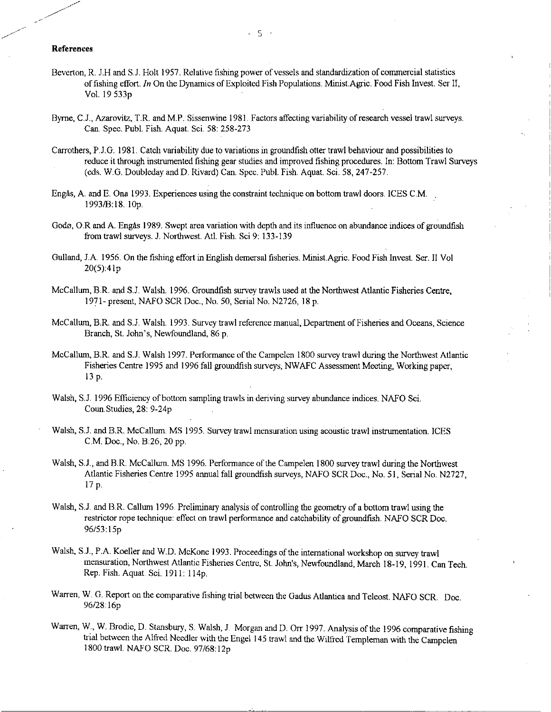# References

- Beverton, R. J.H and S.J. Holt 1957. Relative fishing power of vessels and standardization of commercial statistics of fishing effort. *In* On the Dynamics of Exploited Fish Populations. Minist.Agric. Food Fish Invest. Ser II, Vol. 19 533p
- Byrne, C.J., Azarovitz, T.R. and M.P. Sissenwine 1981. Factors affecting variability of research vessel trawl surveys. Can. Spec. Publ. Fish. Aquat. Sci. 58: 258-273
- Carrothers, P.J.G. 1981. Catch variability due to variations in groundfish otter trawl behaviour and possibilities to reduce it through instrumented fishing gear studies and improved fishing procedures. In: Bottom Trawl Surveys (eds. W.G. Doubleday and D. Rivard) Can. Spec. Publ. Fish. Aquat. Sci. 58, 247-257.
- Engas, A. and E. Ona 1993. Experiences using the constraint technique on bottom trawl doors. ICES C.M. 1993/B:18. 10p.
- Godø, O.R and A. Engas 1989. Swept area variation with depth and its influence on abundance indices of groundfish from trawl surveys. J. Northwest. Atl. Fish. Sci 9: 133-139
- Gulland, J.A. 1956. On the fishing effort in English demersal fisheries. Minist.Agric. Food Fish Invest. Ser. H Vol 20(5):41p
- McCallum, B.R. and S.J. Walsh. 1996. Groundfish survey trawls used at the Northwest Atlantic Fisheries Centre, 1971- present, NAFO SCR Doc., No. 50, Serial No. N2726, 18 p.
- McCallum, B.R. and S.J. Walsh. 1993. Survey trawl reference manual, Department of Fisheries and Oceans, Science Branch, St. John's, Newfoundland, 86 p.
- McCallum, B.R. and S.J. Walsh 1997. Performance of the Campelen 1800 survey trawl during the Northwest Atlantic Fisheries Centre 1995 and 1996 fall groundfish surveys, NWAFC Assessment Meeting, Working paper, 13 p.
- Walsh, S.J. 1996 Efficiency of bottom sampling trawls in deriving survey abundance indices. NAFO Sci. Coun.Studies, 28: 9-24p
- Walsh, S.J. and B.R. McCallum. MS 1995. Survey trawl mensuration using acoustic trawl instrumentation. ICES C.M. Doc., No. B:26, 20 pp.
- Walsh, S.J., and B.R. McCallum. MS 1996. Performance of the Campelen 1800 survey trawl during the Northwest Atlantic Fisheries Centre 1995 annual fall groundfish surveys, NAFO SCR Doc., No. 51, Serial No. N2727, 17 p.
- Walsh, S.J. and B.R. Callum 1996. Preliminary analysis of controlling the geometry of a bottom trawl using the restrictor rope technique: effect on trawl performance and catchability of groundfish. NAFO SCR Doc. 96/53:15p
- Walsh, S.J., P.A. Koeller and W.D. McKone 1993. Proceedings of the international workshop on survey trawl mensuration, Northwest Atlantic Fisheries Centre, St. John's, Newfoundland, March 18-19, 1991. Can Tech. Rep. Fish. Aquat. Sci. 1911: 114p.
- Warren, W. G. Report on the comparative fishing trial between the Gadus Atlantica and Teleost. NAFO SCR. Doc. 96/28:16p
- Warren, W., W. Brodie, D. Stansbury, S. Walsh, J. Morgan and D. Orr 1997. Analysis of the 1996 comparative fishing trial between the Alfred Needler with the Engel 145 trawl and the Wilfred Templeman with the Campelen 1800 trawl. NAFO SCR. Doc. 97/68:12p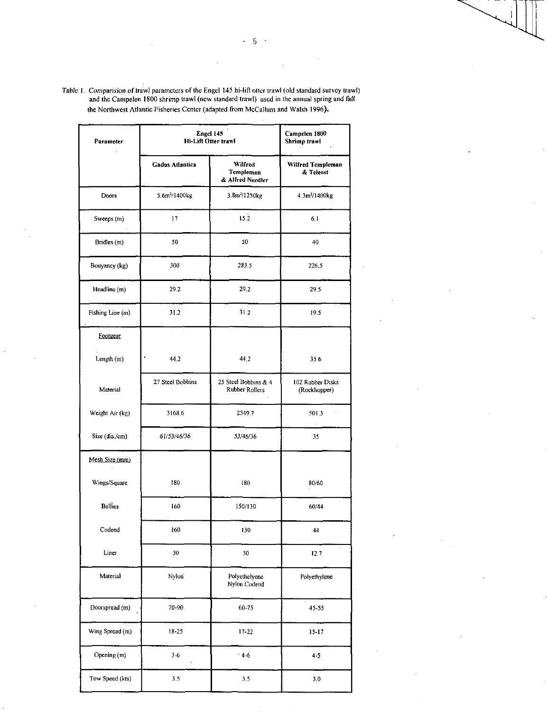| Parameter        | Engel 145<br>Hi-Lift Otter trawl | Campelen 1800<br>Shrimp trawl            |                                  |  |
|------------------|----------------------------------|------------------------------------------|----------------------------------|--|
|                  | Gadus Atlantica                  | Wilfred<br>Templeman<br>& Alfred Needler | Wilfred Templeman<br>& Teleost   |  |
| Doors            | 5.6m <sup>2</sup> /1400kg        | 3.8m <sup>-</sup> /1250kg                | 4.3m <sup>2</sup> /1400kg        |  |
| Sweeps (m)       | 17                               | 15.2                                     | 6.1                              |  |
| Bridles (m)      | 50                               | 50                                       | 40                               |  |
| Bouyancy (kg)    | 300                              | 283.5                                    | 226.5                            |  |
| Headline (m)     | 29.2                             | 29.2                                     | 29.5                             |  |
| Fishing Line (m) | 31.2                             | 31.2                                     | 19.5                             |  |
| Footgear         |                                  |                                          |                                  |  |
| Length (m)       | 44.2                             | 44.2                                     | 35.6                             |  |
| Material         | 27 Steel Bobbins                 | 25 Steel Bobbins & 4<br>Rubber Rollers   | 102 Rubber Disks<br>(Rockhopper) |  |
| Weight Air (kg)  | 3168.6                           | 2349.7                                   | 501.3                            |  |
| Size (dia/cm)    | 61/53/46/36                      | 53/46/36                                 | 35                               |  |
| Mesh Size (mm)   |                                  |                                          |                                  |  |
| Wings/Square     | 180                              | 180                                      | 80/60                            |  |
| Bellies          | 160                              | 150/130                                  | 60/44                            |  |
| Codend           | 160                              | 130                                      | 44                               |  |
| Liner            | 30                               | 30 <sub>1</sub>                          | 12.7                             |  |
| Material         | Nylon                            | Polyethelyene<br>Nylon Codend            | Polyethylene                     |  |
| Doorspread (m)   | 70-90                            | 60-75                                    | 45-55                            |  |
| Wing Spread (m)  | $18 - 25$                        | $17 - 22$                                | $15 - 17$                        |  |
| Opening (m)      | 36                               | $' 4-6$                                  | 4.5                              |  |
| Tow Speed (kts)  | 3,5                              | $3.5$ .                                  | 3.0                              |  |

Table I. *Comparision of* I awl parameters of the Engel 145 hi-lift otter traw (old standard survey trawl) and the Campelen 1800 shrimp trawl (new standard trawl) used in the annual spring and fall the Northwest Atlantic Fisheries Center (adapted from McCallum and Walsh 1996).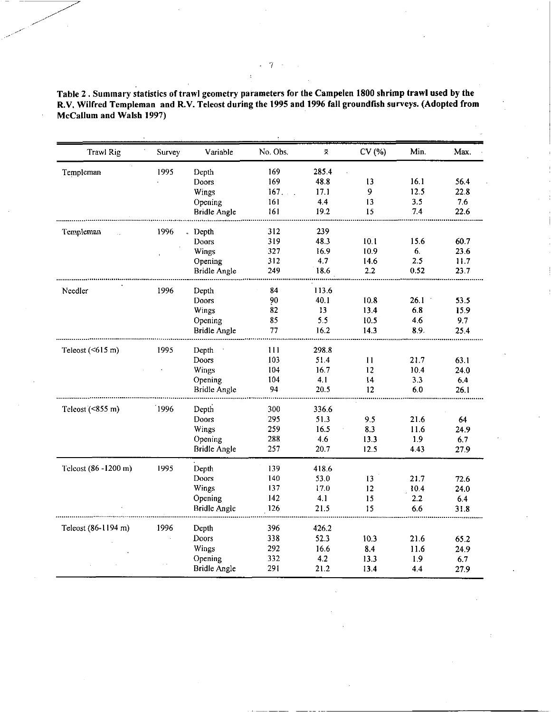Table 2 . Summary statistics of trawl geometry parameters for the Campelen 1800 shrimp trawl used by the R.V. Wilfred Templeman and R.V. Teleost during the 1995 and 1996 fall groundfish surveys. (Adopted from McCallum and Walsh 1997)

|                      | Survey | Variable            | No. Obs. | ×.    | CV (%)       | Min.       | Max.        |
|----------------------|--------|---------------------|----------|-------|--------------|------------|-------------|
| Templeman            | 1995   | Depth               | 169      | 285.4 |              |            |             |
|                      |        | Doors               | 169      | 48.8  | 13           | 16.1       | 56.4        |
|                      |        | Wings               | 167      | 17.1  | 9            | 12.5       | 22.8        |
|                      |        | Opening             | 161      | 4.4   | 13           | 3.5        | 7.6         |
|                      |        | <b>Bridle Angle</b> | 161      | 19.2  | 15           | 7.4        | 22.6        |
| Templeman            | 1996   | Depth               | 312      | 239   |              |            |             |
|                      |        | Doors               | 319      | 48.3  | 10.1         | 15.6       | 60.7        |
|                      |        | Wings               | 327      | 16.9  | 10.9         | 6.         | 23.6        |
|                      |        | Opening             | 312      | 4.7   | 14.6         | 2.5        | 11.7        |
|                      |        | Bridle Angle        | 249      | 18.6  | 2.2          | 0.52       | 23.7        |
| Needler              | 1996   | Depth               | 84       | 113.6 |              |            |             |
|                      |        | <b>Doors</b>        | 90       | 40.1  | 10.8         | 26.1       | 53.5        |
|                      |        | Wings               | 82       | 13    | 13.4         | 6.8        | 15.9        |
|                      |        | Opening             | 85       | 5.5   | 10.5         | 4.6        | 9.7         |
|                      |        | Bridle Angle        | 77       | 16.2  | 14.3         | 8.9.       | 25.4        |
| Teleost $(615 m)$    | 1995   | Depth               | 111      | 298.8 |              |            |             |
|                      |        | Doors               | 103      | 51.4  | 11           | 21.7       | 63.1        |
|                      |        | Wings               | 104      | 16.7  | 12           | 10.4       | 24.0        |
|                      |        | Opening             | 104      | 4.1   | 14           | 3.3        | 6.4         |
|                      |        | <b>Bridle Angle</b> | 94       | 20.5  | 12           | 6.0        | 26.1        |
| Teleost $($ <855 m)  | 1996   | Depth               | 300      | 336.6 |              |            |             |
|                      |        | Doors               | 295      | 51.3  | 9,5          | 21.6       | 64          |
|                      |        | Wings               | 259      | 16.5  | 8.3          | 11.6       | 24.9        |
|                      |        | Opening             | 288      | 4.6   | 13.3         | 1.9        | 6.7         |
|                      |        | <b>Bridle Angle</b> | 257      | 20.7  | 12.5         | 443        | 27.9        |
| Teleost (86 -1200 m) | 1995   | Depth               | 139      | 418.6 |              |            |             |
|                      |        | Doors               | 140      | 53.0  | 13           | 21.7       | 72.6        |
|                      |        | Wings               | 137      | 17.0  | 12           | 10.4       | 24.0        |
|                      |        | Opening             | 142      | 4.1   | 15           | 2.2        | 6.4         |
|                      |        | <b>Bridle Angle</b> | 126      | 21.5  | 15           | 6.6        | 31.8        |
| Teleost (86-1194 m)  | 1996   | Depth               | 396      | 426.2 |              |            |             |
|                      |        | Doors               | 338      | 52.3  | 10.3         | 21.6       | 65.2        |
|                      |        | Wings               | 292      | 16.6  | 8.4          | 11.6       | 24.9        |
|                      |        | Opening             | 332      | 4.2   |              |            |             |
|                      |        | <b>Bridle Angle</b> | 291      | 21.2  | 13.3<br>13.4 | 1.9<br>4.4 | 6.7<br>27.9 |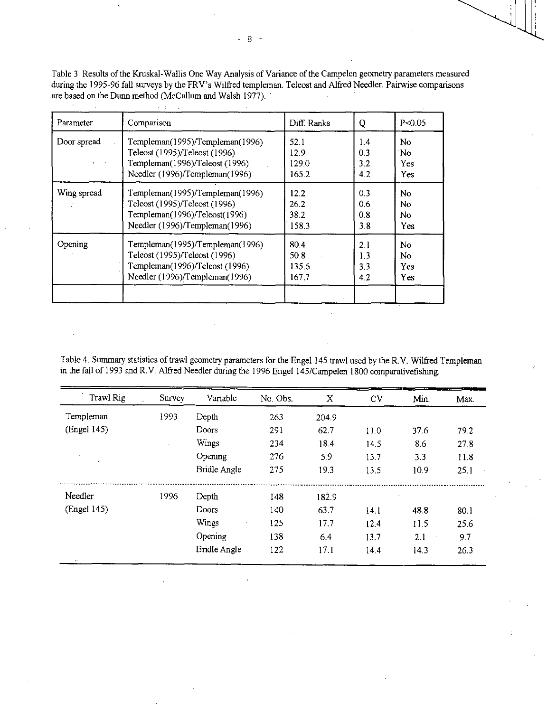Table 3 Results of the Kruskal-Wallis One Way Analysis of Variance of the Campelen geometry parameters measured during the 1995-96 fall surveys by the FRV's Wilfred templeman. Teleost and Alfred Needler. Pairwise comparisons are based on the Dunn method (McCallum and Walsh 1977).

| Parameter                                                                                                                                       | Comparison                                                                                                                          | Diff. Ranks                    | Q                        | P < 0.05                                       |  |
|-------------------------------------------------------------------------------------------------------------------------------------------------|-------------------------------------------------------------------------------------------------------------------------------------|--------------------------------|--------------------------|------------------------------------------------|--|
| Door spread                                                                                                                                     | Templeman(1995)/Templeman(1996)<br>Teleost (1995)/Teleost (1996)<br>Templeman(1996)/Teleost (1996)                                  | 52.1<br>12.9<br>129.0          | 14<br>0.3<br>3.2         | No.<br>No.<br><b>Yes</b>                       |  |
|                                                                                                                                                 | Needler (1996)/Templeman(1996)                                                                                                      | 165.2                          | 4.2                      | <b>Yes</b>                                     |  |
| Wing spread                                                                                                                                     | Templeman(1995)/Templeman(1996)<br>Teleost (1995)/Teleost (1996)<br>Templeman(1996)/Teleost(1996)<br>Needler (1996)/Templeman(1996) | 12.2<br>26.2<br>38.2<br>158.3  | 0.3<br>0.6<br>0.8<br>38  | No<br>N <sub>0</sub><br>N <sub>o</sub><br>Yes. |  |
| Opening<br>Templeman(1995)/Templeman(1996)<br>Teleost (1995)/Teleost (1996)<br>Templeman(1996)/Teleost (1996)<br>Needler (1996)/Templeman(1996) |                                                                                                                                     | 80.4<br>50.8<br>135.6<br>167.7 | 2.1<br>1.3<br>3.3<br>4.2 | No.<br>No.<br>Yes.<br><b>Yes</b>               |  |

Table 4. Summary statistics of trawl geometry parameters for the Engel 145 trawl used by the R.V. Wilfred Templeman in the fall of 1993 and R.V. Alfred Needler during the 1996 Engel 145/Campelen 1800 comparativefishing.

| Trawl Rig   | Survey | Variable            | No. Obs. | X     | CV   | Min. | Max. |
|-------------|--------|---------------------|----------|-------|------|------|------|
| Templeman   | 1993   | Depth               | 263      | 204.9 |      |      |      |
| (Engel 145) |        | Doors               | - 291    | 62.7  | 11.0 | 37.6 | 79.2 |
|             |        | Wings               | 234      | 18.4  | 14.5 | 8.6  | 278  |
|             |        | Opening             | 276      | 5.9   | 13.7 | 3.3  | 11.8 |
|             |        | <b>Bridle Angle</b> | 275      | 19.3  | 13.5 | 10.9 | 25.1 |
| Needler     | 1996   | Depth               | 148      | 182.9 |      |      |      |
| (Engel 145) |        | Doors               | 140      | 63.7  | 14.1 | 48.8 | 80.1 |
|             |        | Wings               | 125      | 17.7  | 12.4 | 11.5 | 25.6 |
|             |        | Opening             | 138      | 6.4   | 13.7 | 2.1  | 9.7  |
|             |        | Bridle Angle        | 122      | 17.1  | 14.4 | 14.3 | 26.3 |

 $-8$  $\overline{\phantom{a}}$ 

**Contractor**